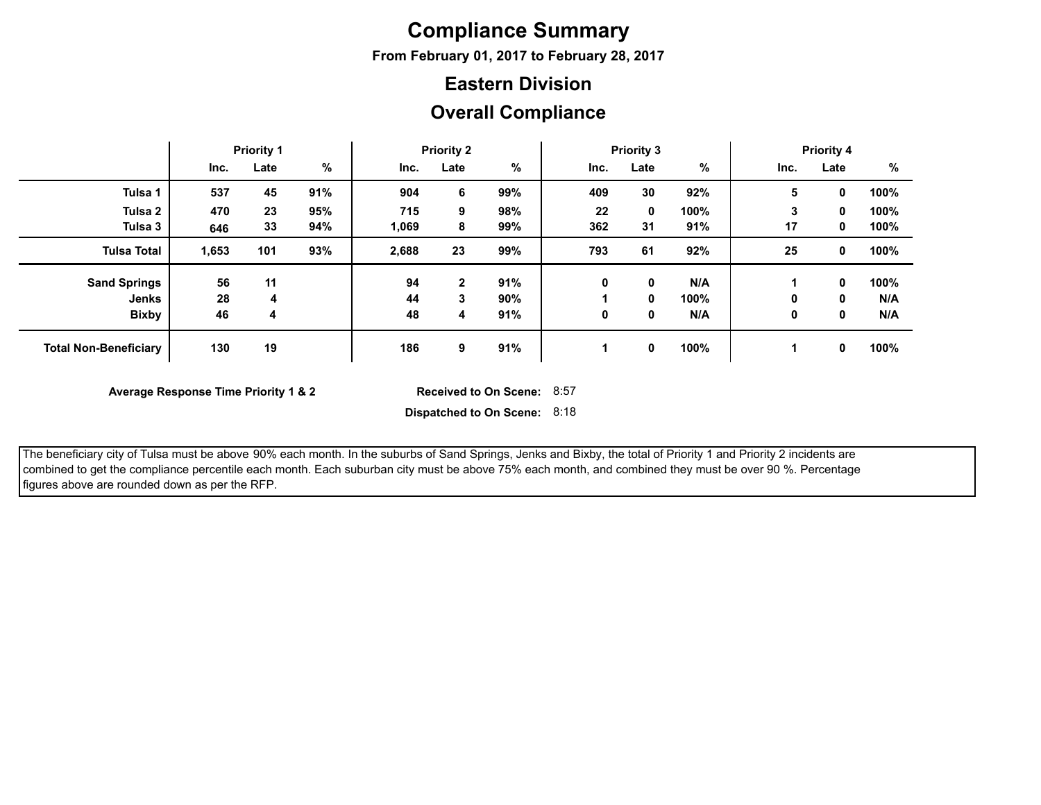## **Compliance Summary**

**From February 01, 2017 to February 28, 2017**

#### **Eastern Division**

#### **Overall Compliance**

|                              | <b>Priority 1</b> |      | <b>Priority 2</b> |       |              | <b>Priority 3</b> |      |             | <b>Priority 4</b> |      |          |      |
|------------------------------|-------------------|------|-------------------|-------|--------------|-------------------|------|-------------|-------------------|------|----------|------|
|                              | Inc.              | Late | $\%$              | Inc.  | Late         | %                 | Inc. | Late        | %                 | Inc. | Late     | %    |
| Tulsa 1                      | 537               | 45   | 91%               | 904   | 6            | 99%               | 409  | 30          | 92%               | 5    | $\bf{0}$ | 100% |
| Tulsa <sub>2</sub>           | 470               | 23   | 95%               | 715   | 9            | 98%               | 22   | $\mathbf 0$ | 100%              | 3    | 0        | 100% |
| Tulsa 3                      | 646               | 33   | 94%               | 1,069 | 8            | 99%               | 362  | 31          | 91%               | 17   | 0        | 100% |
| <b>Tulsa Total</b>           | 1,653             | 101  | 93%               | 2,688 | 23           | 99%               | 793  | 61          | 92%               | 25   | 0        | 100% |
| <b>Sand Springs</b>          | 56                | 11   |                   | 94    | $\mathbf{2}$ | 91%               | 0    | 0           | N/A               |      | 0        | 100% |
| Jenks                        | 28                | 4    |                   | 44    | 3            | 90%               |      | 0           | 100%              | 0    | 0        | N/A  |
| <b>Bixby</b>                 | 46                | 4    |                   | 48    | 4            | 91%               | 0    | 0           | N/A               | 0    | 0        | N/A  |
| <b>Total Non-Beneficiary</b> | 130               | 19   |                   | 186   | 9            | 91%               |      | $\mathbf 0$ | 100%              |      | 0        | 100% |

**Average Response Time Priority 1 & 2** 

Received to On Scene: 8:57

 The beneficiary city of Tulsa must be above 90% each month. In the suburbs of Sand Springs, Jenks and Bixby, the total of Priority 1 and Priority 2 incidents are combined to get the compliance percentile each month. Each suburban city must be above 75% each month, and combined they must be over 90 %. Percentage figures above are rounded down as per the RFP.

**Dispatched to On Scene:** 8:18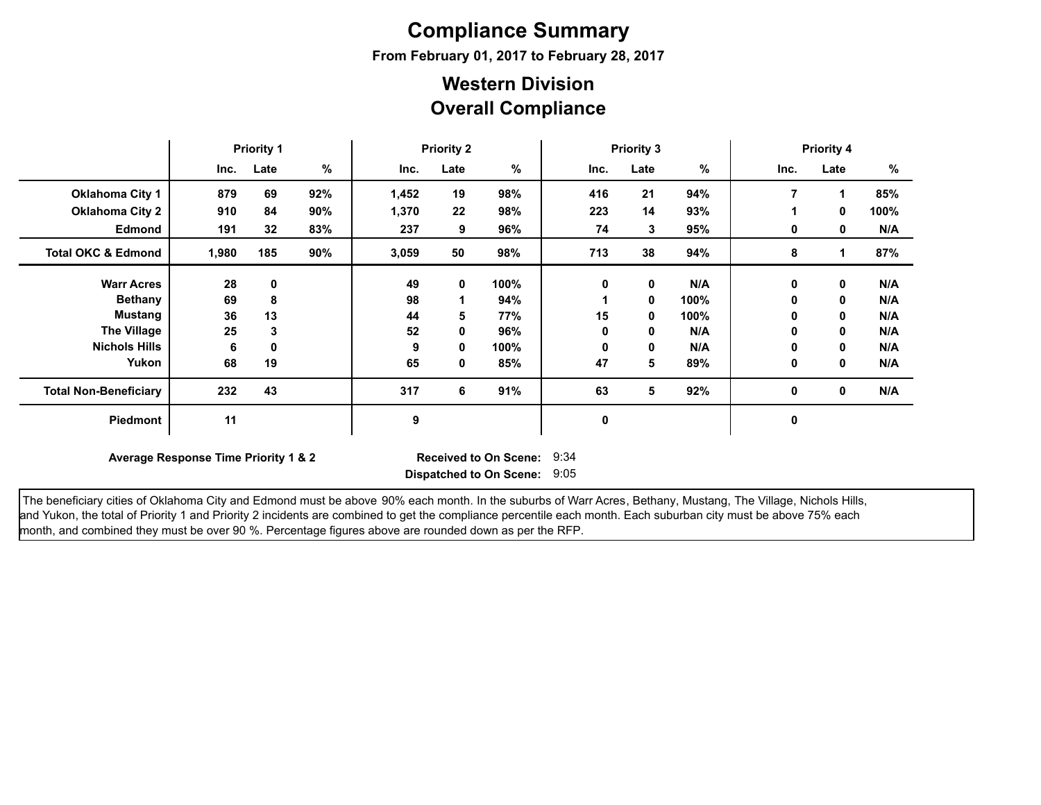# **Compliance Summary**

**From February 01, 2017 to February 28, 2017**

### **Overall Compliance Western Division**

|                               | <b>Priority 1</b>                    |      |     | <b>Priority 2</b> |      |                                                              | <b>Priority 3</b> |              |      | <b>Priority 4</b> |             |      |
|-------------------------------|--------------------------------------|------|-----|-------------------|------|--------------------------------------------------------------|-------------------|--------------|------|-------------------|-------------|------|
|                               | Inc.                                 | Late | %   | Inc.              | Late | %                                                            | Inc.              | Late         | %    | Inc.              | Late        | %    |
| <b>Oklahoma City 1</b>        | 879                                  | 69   | 92% | 1,452             | 19   | 98%                                                          | 416               | 21           | 94%  | $\overline{7}$    |             | 85%  |
| <b>Oklahoma City 2</b>        | 910                                  | 84   | 90% | 1,370             | 22   | 98%                                                          | 223               | 14           | 93%  |                   | 0           | 100% |
| <b>Edmond</b>                 | 191                                  | 32   | 83% | 237               | 9    | 96%                                                          | 74                | $\mathbf{3}$ | 95%  | 0                 | 0           | N/A  |
| <b>Total OKC &amp; Edmond</b> | 1,980                                | 185  | 90% | 3,059             | 50   | 98%                                                          | 713               | 38           | 94%  | 8                 |             | 87%  |
| <b>Warr Acres</b>             | 28                                   | 0    |     | 49                | 0    | 100%                                                         | 0                 | $\mathbf 0$  | N/A  | 0                 | $\mathbf 0$ | N/A  |
| <b>Bethany</b>                | 69                                   | 8    |     | 98                |      | 94%                                                          |                   | $\mathbf 0$  | 100% | 0                 | 0           | N/A  |
| <b>Mustang</b>                | 36                                   | 13   |     | 44                | 5    | 77%                                                          | 15                | 0            | 100% | 0                 | 0           | N/A  |
| <b>The Village</b>            | 25                                   | 3    |     | 52                | 0    | 96%                                                          | 0                 | 0            | N/A  | 0                 | 0           | N/A  |
| <b>Nichols Hills</b>          | 6                                    | 0    |     | 9                 | 0    | 100%                                                         | 0                 | $\mathbf 0$  | N/A  | 0                 | 0           | N/A  |
| Yukon                         | 68                                   | 19   |     | 65                | 0    | 85%                                                          | 47                | 5            | 89%  | 0                 | 0           | N/A  |
| <b>Total Non-Beneficiary</b>  | 232                                  | 43   |     | 317               | 6    | 91%                                                          | 63                | 5            | 92%  | 0                 | 0           | N/A  |
| Piedmont                      | 11                                   |      |     | 9                 |      |                                                              | 0                 |              |      | 0                 |             |      |
|                               | Average Response Time Priority 1 & 2 |      |     |                   |      | <b>Received to On Scene:</b><br>Dispatched to On Scene: 9:05 | 9:34              |              |      |                   |             |      |

The beneficiary cities of Oklahoma City and Edmond must be above 90% each month. In the suburbs of Warr Acres, Bethany, Mustang, The Village, Nichols Hills, and Yukon, the total of Priority 1 and Priority 2 incidents are combined to get the compliance percentile each month. Each suburban city must be above 75% each month, and combined they must be over 90 %. Percentage figures above are rounded down as per the RFP.